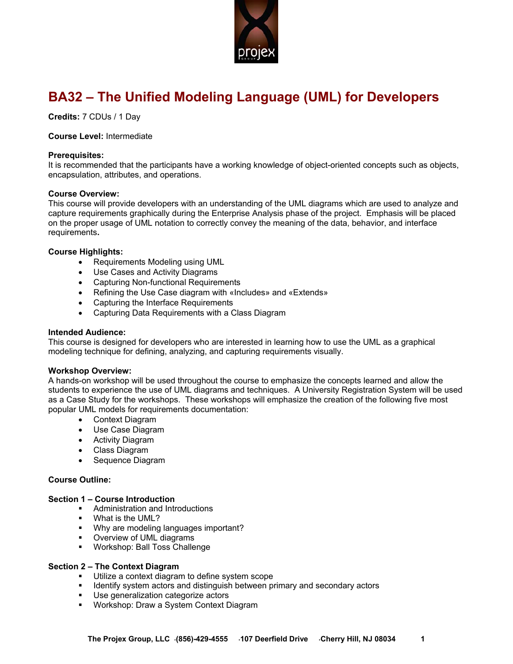

# **BA32 – The Unified Modeling Language (UML) for Developers**

**Credits:** 7 CDUs / 1 Day

# **Course Level:** Intermediate

### **Prerequisites:**

It is recommended that the participants have a working knowledge of object-oriented concepts such as objects, encapsulation, attributes, and operations.

## **Course Overview:**

This course will provide developers with an understanding of the UML diagrams which are used to analyze and capture requirements graphically during the Enterprise Analysis phase of the project. Emphasis will be placed on the proper usage of UML notation to correctly convey the meaning of the data, behavior, and interface requirements**.** 

## **Course Highlights:**

- Requirements Modeling using UML
- Use Cases and Activity Diagrams
- Capturing Non-functional Requirements
- Refining the Use Case diagram with «Includes» and «Extends»
- Capturing the Interface Requirements
- Capturing Data Requirements with a Class Diagram

### **Intended Audience:**

This course is designed for developers who are interested in learning how to use the UML as a graphical modeling technique for defining, analyzing, and capturing requirements visually.

## **Workshop Overview:**

A hands-on workshop will be used throughout the course to emphasize the concepts learned and allow the students to experience the use of UML diagrams and techniques. A University Registration System will be used as a Case Study for the workshops. These workshops will emphasize the creation of the following five most popular UML models for requirements documentation:

- Context Diagram
- Use Case Diagram
- Activity Diagram
- Class Diagram
- Sequence Diagram

## **Course Outline:**

# **Section 1 – Course Introduction**

- **Administration and Introductions**
- What is the UML?
- **Why are modeling languages important?**
- **•** Overview of UML diagrams
- **Workshop: Ball Toss Challenge**

## **Section 2 – The Context Diagram**

- **Utilize a context diagram to define system scope**
- **IDENTIFY** system actors and distinguish between primary and secondary actors
- Use generalization categorize actors
- Workshop: Draw a System Context Diagram